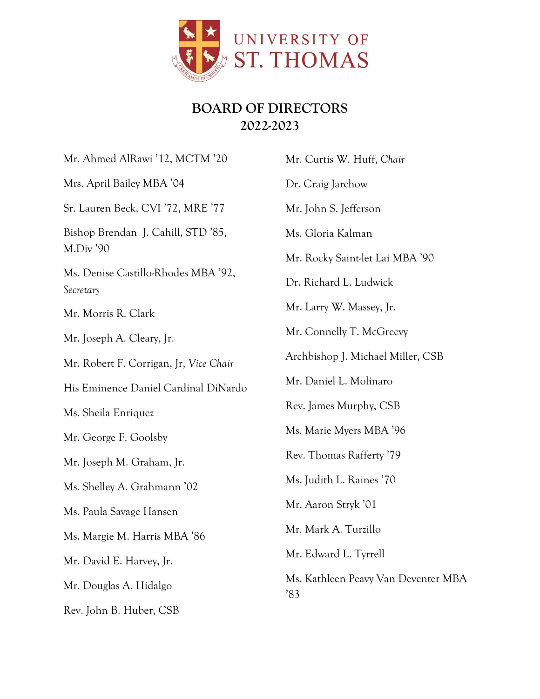

## **BOARD OF DIRECTORS 2022-2023**

Mr. Ahmed AlRawi '12, MCTM '20 Mrs. April Bailey MBA '04 Sr. Lauren Beck, CVI '72, MRE '77 Bishop Brendan J. Cahill, STD '85, M.Div '90 Ms. Denise Castillo-Rhodes MBA '92, *Secretary* Mr. Morris R. Clark Mr. Joseph A. Cleary, Jr. Mr. Robert F. Corrigan, Jr, *Vice Chair* His Eminence Daniel Cardinal DiNardo Ms. Sheila Enriquez Mr. George F. Goolsby Mr. Joseph M. Graham, Jr. Ms. Shelley A. Grahmann '02 Ms. Paula Savage Hansen Ms. Margie M. Harris MBA '86 Mr. David E. Harvey, Jr. Mr. Douglas A. Hidalgo Rev. John B. Huber, CSB Mr. Curtis W. Huff, *Chair* Dr. Craig Jarchow Mr. John S. Jefferson Ms. Gloria Kalman Mr. Rocky Saint-let Lai MBA '90 Dr. Richard L. Ludwick Mr. Larry W. Massey, Jr. Mr. Connelly T. McGreevy Archbishop J. Michael Miller, CSB Mr. Daniel L. Molinaro Rev. James Murphy, CSB Ms. Marie Myers MBA '96 Rev. Thomas Rafferty '79 Ms. Judith L. Raines '70 Mr. Aaron Stryk '01 Mr. Mark A. Turzillo Mr. Edward L. Tyrrell Ms. Kathleen Peavy Van Deventer MBA '83